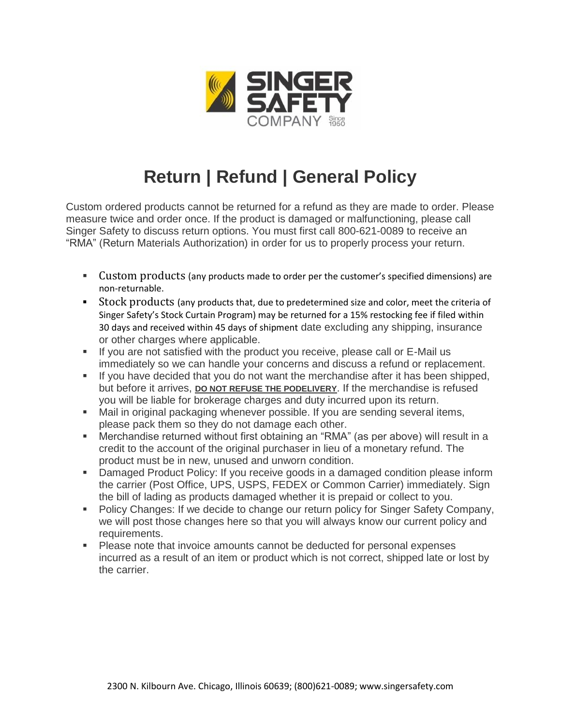

## **Return | Refund | General Policy**

Custom ordered products cannot be returned for a refund as they are made to order. Please measure twice and order once. If the product is damaged or malfunctioning, please call Singer Safety to discuss return options. You must first call 800-621-0089 to receive an "RMA" (Return Materials Authorization) in order for us to properly process your return.

- Custom products (any products made to order per the customer's specified dimensions) are non-returnable.
- **EXECO FIGHTS** 1 Stock products (any products that, due to predetermined size and color, meet the criteria of Singer Safety's Stock Curtain Program) may be returned for a 15% restocking fee if filed within 30 days and received within 45 days of shipment date excluding any shipping, insurance or other charges where applicable.
- If you are not satisfied with the product you receive, please call or E-Mail us immediately so we can handle your concerns and discuss a refund or replacement.
- If you have decided that you do not want the merchandise after it has been shipped, but before it arrives, **DO NOT REFUSE THE PODELIVERY**. If the merchandise is refused you will be liable for brokerage charges and duty incurred upon its return.
- Mail in original packaging whenever possible. If you are sending several items, please pack them so they do not damage each other.
- Merchandise returned without first obtaining an "RMA" (as per above) will result in a credit to the account of the original purchaser in lieu of a monetary refund. The product must be in new, unused and unworn condition.
- **Damaged Product Policy: If you receive goods in a damaged condition please inform** the carrier (Post Office, UPS, USPS, FEDEX or Common Carrier) immediately. Sign the bill of lading as products damaged whether it is prepaid or collect to you.
- Policy Changes: If we decide to change our return policy for Singer Safety Company, we will post those changes here so that you will always know our current policy and requirements.
- Please note that invoice amounts cannot be deducted for personal expenses incurred as a result of an item or product which is not correct, shipped late or lost by the carrier.